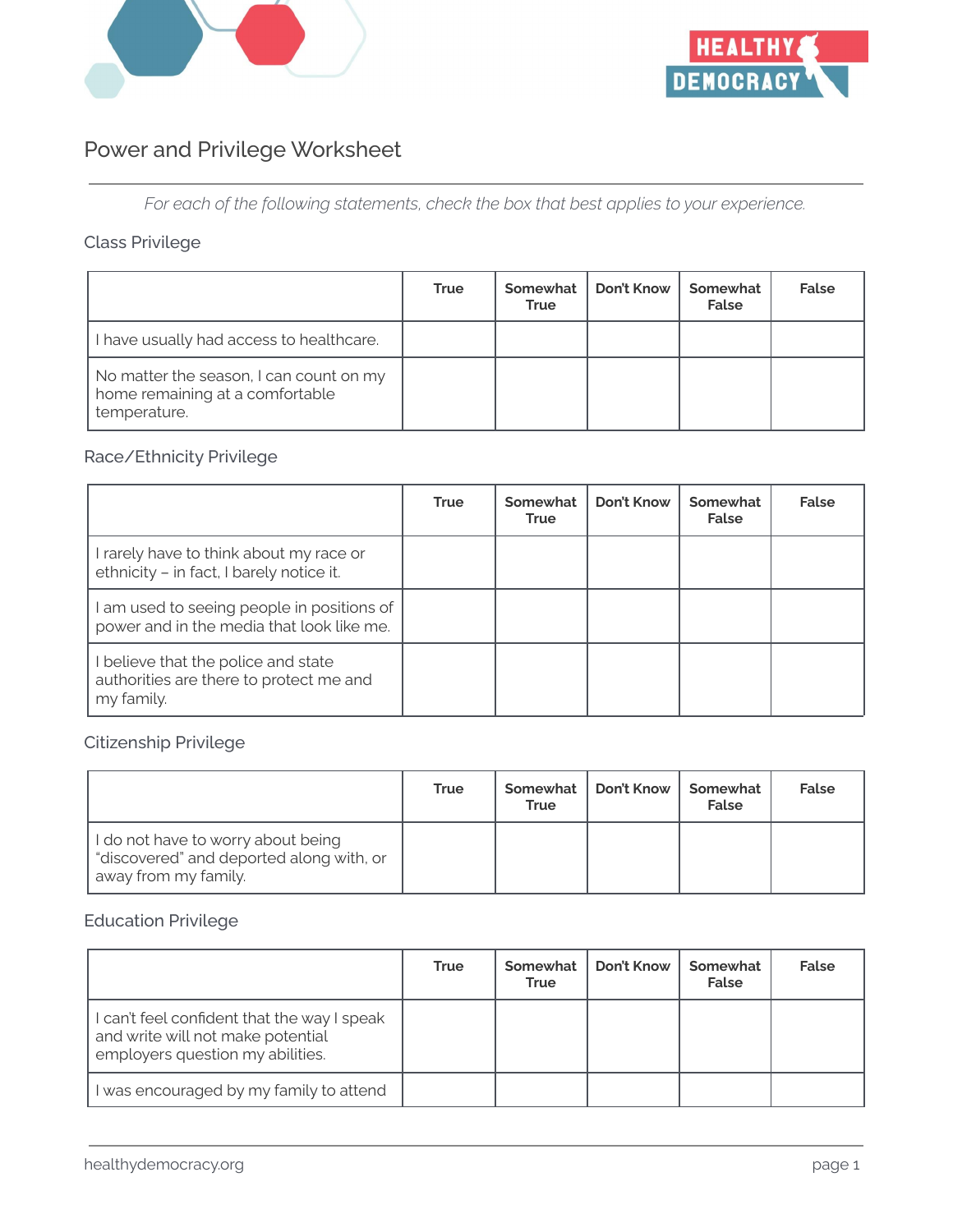



# Power and Privilege Worksheet

*For each of the following statements, check the box that best applies to your experience.*

## Class Privilege

|                                                                                            | <b>True</b> | Somewhat<br><b>True</b> | Don't Know | Somewhat<br><b>False</b> | False |
|--------------------------------------------------------------------------------------------|-------------|-------------------------|------------|--------------------------|-------|
| I have usually had access to healthcare.                                                   |             |                         |            |                          |       |
| No matter the season, I can count on my<br>home remaining at a comfortable<br>temperature. |             |                         |            |                          |       |

## Race/Ethnicity Privilege

|                                                                                            | <b>True</b> | Somewhat<br>True | Don't Know | Somewhat<br>False | False |
|--------------------------------------------------------------------------------------------|-------------|------------------|------------|-------------------|-------|
| I rarely have to think about my race or<br>ethnicity - in fact, I barely notice it.        |             |                  |            |                   |       |
| am used to seeing people in positions of<br>power and in the media that look like me.      |             |                  |            |                   |       |
| believe that the police and state<br>authorities are there to protect me and<br>my family. |             |                  |            |                   |       |

### Citizenship Privilege

|                                                                                                        | <b>True</b> | Somewhat<br><b>True</b> | Don't Know | Somewhat<br>False | <b>False</b> |
|--------------------------------------------------------------------------------------------------------|-------------|-------------------------|------------|-------------------|--------------|
| I do not have to worry about being<br>"discovered" and deported along with, or<br>away from my family. |             |                         |            |                   |              |

## Education Privilege

|                                                                                                                      | <b>True</b> | Somewhat<br><b>True</b> | Don't Know | Somewhat<br>False | False |
|----------------------------------------------------------------------------------------------------------------------|-------------|-------------------------|------------|-------------------|-------|
| I can't feel confident that the way I speak<br>and write will not make potential<br>employers question my abilities. |             |                         |            |                   |       |
| I was encouraged by my family to attend                                                                              |             |                         |            |                   |       |